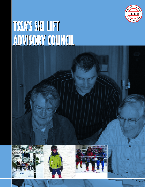

# **TSSA'S SKI LIFT TSSA'S SKI LIFT ADVISORYCOUNCIL ADVISORYCOUNCIL**

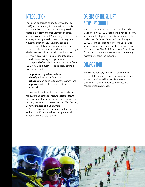#### **INTRODUCTION**

The Technical Standards and Safety Authority (TSSA) regulates safety in Ontario in a proactive, prevention-based manner. In order to provide strategic oversight and management of safety regulations and issues, TSSA actively solicits advice from key industry stakeholders within regulated industries through TSSA advisory councils.

To ensure safety services are developed in context, advisory councils provide a forum through which TSSA consults with industry relative to its safety services, gaining valuable input to guide TSSA decision-making and operations.

Composed of stakeholder representatives from TSSA-regulated industries, the advisory councils work with TSSA to:

- > **support** existing safety initiatives;
- > **identify** industry-specific issues;
- > **collaborate** on policies to enhance safety; and
- **improve** service delivery and customer relationships.

TSSA works with 11 advisory councils: Ski Lifts, Agriculture, Boilers and Pressure Vessels, Natural Gas, Operating Engineers, Liquid Fuels, Amusement Devices, Propane, Upholstered and Stuffed Articles, Elevating Devices, and Consumers.

Advisory councils remain important allies in the evolution of TSSA toward becoming the world leader in public safety services.

#### ORIGINS OF THE SKI LIFT **ADVISORY COUNCIL**

With the divestiture of the Technical Standards Division in 1996, TSSA became the not-for-profit, self-funded delegated administrative authority under the *Technical Standards and Safety Act, 2000*, assuming responsibility for public safety services in four mandated sectors, including ski lift operations. The Ski Lift Advisory Council was formed in November 2003 to advise on strategic matters affecting the industry.

#### **COMPOSITION**

The Ski Lift Advisory Council is made up of 13 representatives from the ski lift industry, including ski resort services, ski lift manufacturers and engineering services, as well as insurance and consumer representatives.